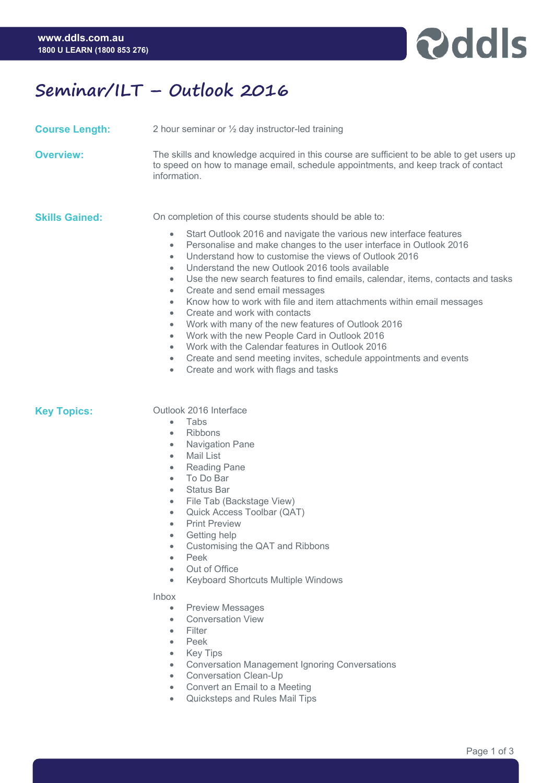

## **Seminar/ILT – Outlook 2016**

**Course Length:** 2 hour seminar or ½ day instructor-led training

**Overview:** The skills and knowledge acquired in this course are sufficient to be able to get users up to speed on how to manage email, schedule appointments, and keep track of contact information.

**Skills Gained:** On completion of this course students should be able to:

- Start Outlook 2016 and navigate the various new interface features
- Personalise and make changes to the user interface in Outlook 2016
- Understand how to customise the views of Outlook 2016
- Understand the new Outlook 2016 tools available
- Use the new search features to find emails, calendar, items, contacts and tasks
- Create and send email messages
- Know how to work with file and item attachments within email messages
- Create and work with contacts
- Work with many of the new features of Outlook 2016
- Work with the new People Card in Outlook 2016
- Work with the Calendar features in Outlook 2016
- Create and send meeting invites, schedule appointments and events
- Create and work with flags and tasks

## **Key Topics: Outlook 2016 Interface**

- Tabs
- Ribbons
- Navigation Pane
- Mail List
- Reading Pane
- To Do Bar
- Status Bar
- File Tab (Backstage View)
- Quick Access Toolbar (QAT)
- Print Preview
- Getting help
- Customising the QAT and Ribbons
- Peek
- Out of Office
- Keyboard Shortcuts Multiple Windows

### Inbox

- Preview Messages
- Conversation View
- Filter
- Peek
- Key Tips
- Conversation Management Ignoring Conversations
- Conversation Clean-Up
- Convert an Email to a Meeting
- Quicksteps and Rules Mail Tips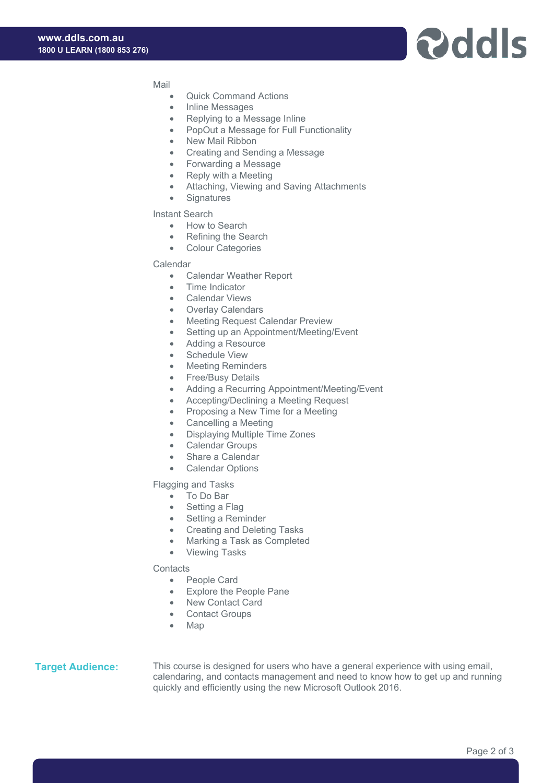# **Pddls**

Mail

- Quick Command Actions
- Inline Messages
- Replying to a Message Inline
- PopOut a Message for Full Functionality
- New Mail Ribbon
- Creating and Sending a Message
- Forwarding a Message
- Reply with a Meeting
- Attaching, Viewing and Saving Attachments
- Signatures

Instant Search

- How to Search
- Refining the Search
- Colour Categories

#### Calendar

- Calendar Weather Report
- Time Indicator
- Calendar Views
- Overlay Calendars
- Meeting Request Calendar Preview
- Setting up an Appointment/Meeting/Event
- Adding a Resource
- Schedule View
- Meeting Reminders
- Free/Busy Details
- Adding a Recurring Appointment/Meeting/Event
- Accepting/Declining a Meeting Request
- Proposing a New Time for a Meeting
- Cancelling a Meeting
- Displaying Multiple Time Zones
- Calendar Groups
- Share a Calendar
- Calendar Options

Flagging and Tasks

- To Do Bar
- Setting a Flag
- Setting a Reminder
- Creating and Deleting Tasks
- Marking a Task as Completed
- Viewing Tasks

#### **Contacts**

- People Card
- Explore the People Pane
- New Contact Card
- Contact Groups
- Map

**Target Audience:** This course is designed for users who have a general experience with using email, calendaring, and contacts management and need to know how to get up and running quickly and efficiently using the new Microsoft Outlook 2016.